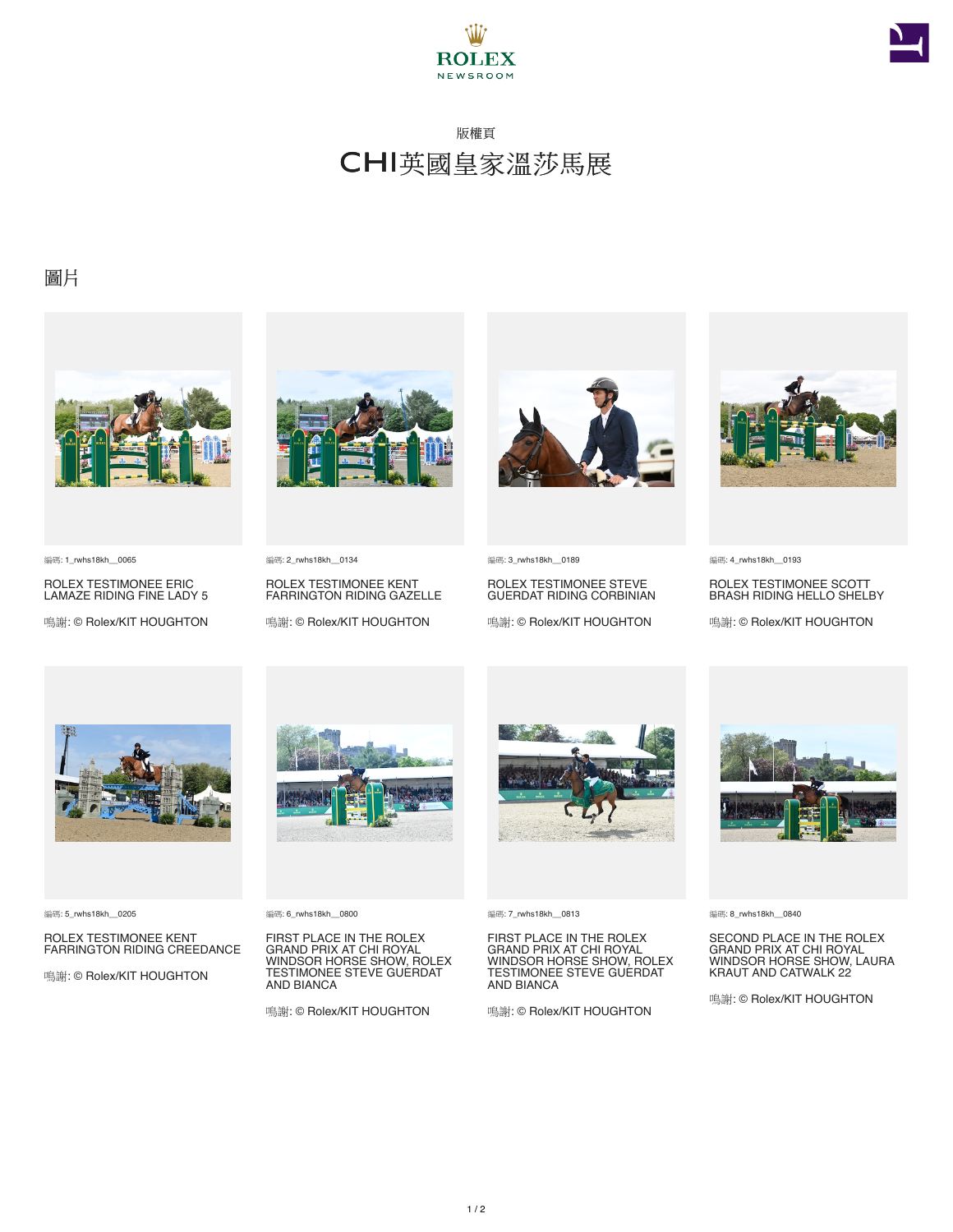



## 版權頁 CHI英國皇家溫莎馬展

## 圖片



編碼: 1\_rwhs18kh\_\_0065

ROLEX TESTIMONEE ERIC LAMAZE RIDING FINE LADY 5

鳴謝: © Rolex/KIT HOUGHTON



**編碼: 2\_rwhs18kh\_\_0134** 

ROLEX TESTIMONEE KENT FARRINGTON RIDING GAZELLE

鳴謝: © Rolex/KIT HOUGHTON



編碼: 3\_rwhs18kh \_ 0189

ROLEX TESTIMONEE STEVE GUERDAT RIDING CORBINIAN

鳴謝: © Rolex/KIT HOUGHTON



編碼: 4\_rwhs18kh\_\_0193

ROLEX TESTIMONEE SCOTT BRASH RIDING HELLO SHELBY

鳴謝: © Rolex/KIT HOUGHTON



編碼: 5\_rwhs18kh\_\_0205

ROLEX TESTIMONEE KENT FARRINGTON RIDING CREEDANCE

鳴謝: © Rolex/KIT HOUGHTON



編碼: 6\_rwhs18kh\_\_0800

FIRST PLACE IN THE ROLEX GRAND PRIX AT CHI ROYAL WINDSOR HORSE SHOW, ROLEX TESTIMONEE STEVE GUERDAT AND BIANCA

鳴謝: © Rolex/KIT HOUGHTON



編碼: 7\_rwhs18kh\_\_0813

FIRST PLACE IN THE ROLEX GRAND PRIX AT CHI ROYAL WINDSOR HORSE SHOW, ROLEX TESTIMONEE STEVE GUERDAT AND BIANCA

鳴謝: © Rolex/KIT HOUGHTON



編碼: 8\_rwhs18kh\_\_0840

SECOND PLACE IN THE ROLEX GRAND PRIX AT CHI ROYAL WINDSOR HORSE SHOW, LAURA KRAUT AND CATWALK 22

鳴謝: © Rolex/KIT HOUGHTON